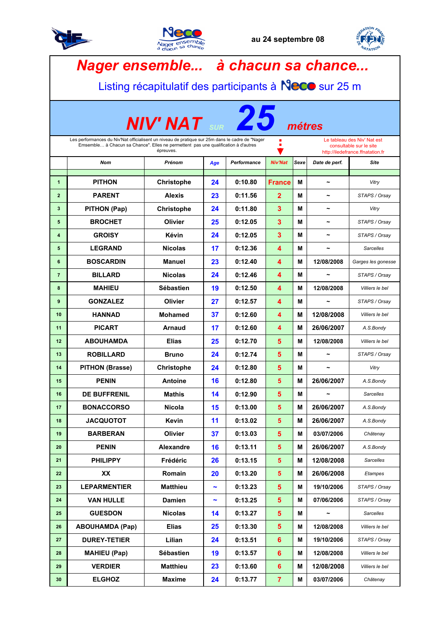





|                                                                                                                                                                                                                                                                                                            | Nager ensemble à chacun sa chance<br>Listing récapitulatif des participants à Neco sur 25 m |                   |                       |             |                         |      |                       |                    |  |  |
|------------------------------------------------------------------------------------------------------------------------------------------------------------------------------------------------------------------------------------------------------------------------------------------------------------|---------------------------------------------------------------------------------------------|-------------------|-----------------------|-------------|-------------------------|------|-----------------------|--------------------|--|--|
|                                                                                                                                                                                                                                                                                                            | <b>NIV' NAT</b> SUR<br>métres                                                               |                   |                       |             |                         |      |                       |                    |  |  |
| Le tableau des Niv' Nat est<br>Les performances du Niv'Nat officialisent un niveau de pratique sur 25m dans le cadre de "Nager<br>п<br>٠<br>Emsemble à Chacun sa Chance". Elles ne permettent pas une qualification à d'autres<br>consultable sur le site<br>épreuves.<br>http://iledefrance.ffnatation.fr |                                                                                             |                   |                       |             |                         |      |                       |                    |  |  |
|                                                                                                                                                                                                                                                                                                            | Nom                                                                                         | Prénom            | Age                   | Performance | <b>Niv'Nat</b>          | Sexe | Date de perf.         | Site               |  |  |
| $\mathbf{1}$                                                                                                                                                                                                                                                                                               | <b>PITHON</b>                                                                               | <b>Christophe</b> | 24                    | 0:10.80     | <b>France</b>           | M    | ∼                     | Vitry              |  |  |
| $\overline{2}$                                                                                                                                                                                                                                                                                             | <b>PARENT</b>                                                                               | Alexis            | 23                    | 0:11.56     | $\mathbf{2}$            | M    |                       | STAPS / Orsay      |  |  |
| 3                                                                                                                                                                                                                                                                                                          | PITHON (Pap)                                                                                | Christophe        | 24                    | 0:11.80     | $\overline{\mathbf{3}}$ | м    |                       | Vitry              |  |  |
| 5                                                                                                                                                                                                                                                                                                          | <b>BROCHET</b>                                                                              | Olivier           | 25                    | 0:12.05     | $\overline{\mathbf{3}}$ | M    | $\overline{ }$        | STAPS / Orsay      |  |  |
| 4                                                                                                                                                                                                                                                                                                          | <b>GROISY</b>                                                                               | Kévin             | 24                    | 0:12.05     | 3                       | M    |                       | STAPS / Orsay      |  |  |
| 5                                                                                                                                                                                                                                                                                                          | <b>LEGRAND</b>                                                                              | <b>Nicolas</b>    | 17                    | 0:12.36     | 4                       | M    | ∼                     | <b>Sarcelles</b>   |  |  |
| 6                                                                                                                                                                                                                                                                                                          | <b>BOSCARDIN</b>                                                                            | <b>Manuel</b>     | 23                    | 0:12.40     | 4                       | M    | 12/08/2008            | Garges les gonesse |  |  |
| $\overline{7}$                                                                                                                                                                                                                                                                                             | <b>BILLARD</b>                                                                              | <b>Nicolas</b>    | 24                    | 0:12.46     | 4                       | M    |                       | STAPS / Orsay      |  |  |
| 8                                                                                                                                                                                                                                                                                                          | <b>MAHIEU</b>                                                                               | Sébastien         | 19                    | 0:12.50     | 4                       | М    | 12/08/2008            | Villiers le bel    |  |  |
| 9                                                                                                                                                                                                                                                                                                          | <b>GONZALEZ</b>                                                                             | Olivier           | 27                    | 0:12.57     | 4                       | M    | ∼                     | STAPS / Orsay      |  |  |
| 10                                                                                                                                                                                                                                                                                                         | <b>HANNAD</b>                                                                               | <b>Mohamed</b>    | 37                    | 0:12.60     | 4                       | м    | 12/08/2008            | Villiers le bel    |  |  |
| 11                                                                                                                                                                                                                                                                                                         | <b>PICART</b>                                                                               | <b>Arnaud</b>     | 17                    | 0:12.60     | 4                       | М    | 26/06/2007            | A.S.Bondy          |  |  |
| 12                                                                                                                                                                                                                                                                                                         | <b>ABOUHAMDA</b>                                                                            | <b>Elias</b>      | 25                    | 0:12.70     | 5                       | M    | 12/08/2008            | Villiers le bel    |  |  |
| 13                                                                                                                                                                                                                                                                                                         | <b>ROBILLARD</b>                                                                            | <b>Bruno</b>      | 24                    | 0:12.74     | 5                       | M    | $\tilde{\phantom{a}}$ | STAPS / Orsay      |  |  |
| 14                                                                                                                                                                                                                                                                                                         | <b>PITHON (Brasse)</b>                                                                      | <b>Christophe</b> | 24                    | 0:12.80     | 5                       | M    | $\tilde{\phantom{a}}$ | Vitry              |  |  |
| 15                                                                                                                                                                                                                                                                                                         | <b>PENIN</b>                                                                                | <b>Antoine</b>    | 16                    | 0:12.80     | 5                       | M    | 26/06/2007            | A.S.Bondy          |  |  |
| 16                                                                                                                                                                                                                                                                                                         | DE BUFFRENIL                                                                                | <b>Mathis</b>     | 14                    | 0:12.90     | 5                       | Μ    | $\tilde{}$            | Sarcelles          |  |  |
| 17                                                                                                                                                                                                                                                                                                         | <b>BONACCORSO</b>                                                                           | <b>Nicola</b>     | 15                    | 0:13.00     | 5 <sup>5</sup>          | М    | 26/06/2007            | A.S.Bondy          |  |  |
| 18                                                                                                                                                                                                                                                                                                         | <b>JACQUOTOT</b>                                                                            | Kevin             | 11                    | 0:13.02     | 5                       | Μ    | 26/06/2007            | A.S.Bondy          |  |  |
| 19                                                                                                                                                                                                                                                                                                         | <b>BARBERAN</b>                                                                             | Olivier           | 37                    | 0:13.03     | $5\phantom{a}$          | Μ    | 03/07/2006            | Châtenay           |  |  |
| 20                                                                                                                                                                                                                                                                                                         | <b>PENIN</b>                                                                                | Alexandre         | 16                    | 0:13.11     | $5\phantom{.0}$         | м    | 26/06/2007            | A.S.Bondy          |  |  |
| 21                                                                                                                                                                                                                                                                                                         | <b>PHILIPPY</b>                                                                             | Frédéric          | 26                    | 0:13.15     | $5\phantom{a}$          | Μ    | 12/08/2008            | Sarcelles          |  |  |
| 22                                                                                                                                                                                                                                                                                                         | XX                                                                                          | Romain            | 20                    | 0:13.20     | $5\phantom{.0}$         | м    | 26/06/2008            | Etampes            |  |  |
| 23                                                                                                                                                                                                                                                                                                         | <b>LEPARMENTIER</b>                                                                         | <b>Matthieu</b>   | $\tilde{\phantom{a}}$ | 0:13.23     | $5\phantom{1}$          | М    | 19/10/2006            | STAPS / Orsay      |  |  |
| 24                                                                                                                                                                                                                                                                                                         | <b>VAN HULLE</b>                                                                            | <b>Damien</b>     | $\tilde{\phantom{a}}$ | 0:13.25     | 5 <sup>5</sup>          | M    | 07/06/2006            | STAPS / Orsay      |  |  |
| 25                                                                                                                                                                                                                                                                                                         | <b>GUESDON</b>                                                                              | <b>Nicolas</b>    | 14                    | 0:13.27     | $5\phantom{1}$          | Μ    |                       | <b>Sarcelles</b>   |  |  |
| 26                                                                                                                                                                                                                                                                                                         | <b>ABOUHAMDA (Pap)</b>                                                                      | <b>Elias</b>      | 25                    | 0:13.30     | 5                       | Μ    | 12/08/2008            | Villiers le bel    |  |  |
| 27                                                                                                                                                                                                                                                                                                         | <b>DUREY-TETIER</b>                                                                         | Lilian            | 24                    | 0:13.51     | $6\phantom{a}$          | Μ    | 19/10/2006            | STAPS / Orsay      |  |  |
| 28                                                                                                                                                                                                                                                                                                         | <b>MAHIEU (Pap)</b>                                                                         | Sébastien         | 19                    | 0:13.57     | $6\phantom{a}$          | Μ    | 12/08/2008            | Villiers le bel    |  |  |
| 29                                                                                                                                                                                                                                                                                                         | <b>VERDIER</b>                                                                              | <b>Matthieu</b>   | 23                    | 0:13.60     | $6\phantom{a}$          | м    | 12/08/2008            | Villiers le bel    |  |  |
| 30                                                                                                                                                                                                                                                                                                         | <b>ELGHOZ</b>                                                                               | <b>Maxime</b>     | 24                    | 0:13.77     | $\overline{7}$          | Μ    | 03/07/2006            | Châtenay           |  |  |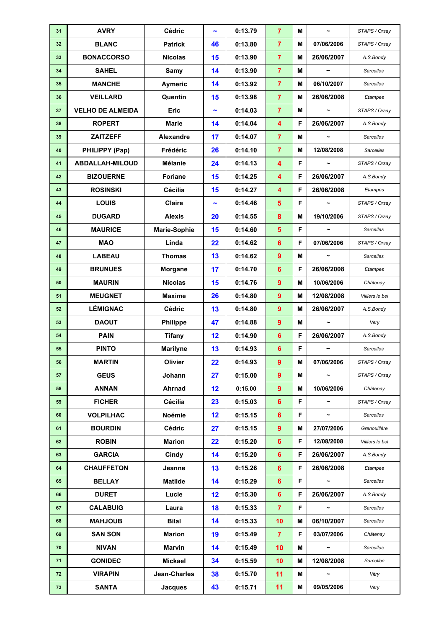| 31 | <b>AVRY</b>             | Cédric              | $\tilde{\phantom{a}}$ | 0:13.79 | $\overline{7}$          | M  | $\tilde{}$            | STAPS / Orsay    |
|----|-------------------------|---------------------|-----------------------|---------|-------------------------|----|-----------------------|------------------|
| 32 | <b>BLANC</b>            | <b>Patrick</b>      | 46                    | 0:13.80 | $\overline{7}$          | M  | 07/06/2006            | STAPS / Orsay    |
| 33 | <b>BONACCORSO</b>       | <b>Nicolas</b>      | 15                    | 0:13.90 | $\overline{7}$          | M  | 26/06/2007            | A.S.Bondy        |
| 34 | <b>SAHEL</b>            | Samy                | 14                    | 0:13.90 | $\overline{7}$          | М  | $\tilde{\phantom{a}}$ | <b>Sarcelles</b> |
| 35 | <b>MANCHE</b>           | <b>Aymeric</b>      | 14                    | 0:13.92 | $\overline{7}$          | M  | 06/10/2007            | <b>Sarcelles</b> |
| 36 | <b>VEILLARD</b>         | Quentin             | 15                    | 0:13.98 | $\overline{7}$          | M  | 26/06/2008            | Etampes          |
| 37 | <b>VELHO DE ALMEIDA</b> | <b>Eric</b>         | $\tilde{\phantom{a}}$ | 0:14.03 | $\overline{7}$          | Μ  | $\tilde{\phantom{a}}$ | STAPS / Orsay    |
| 38 | <b>ROPERT</b>           | <b>Marie</b>        | 14                    | 0:14.04 | $\overline{\mathbf{4}}$ | F  | 26/06/2007            | A.S.Bondy        |
| 39 | <b>ZAITZEFF</b>         | Alexandre           | 17                    | 0:14.07 | $\overline{7}$          | M  | $\tilde{\phantom{a}}$ | Sarcelles        |
| 40 | PHILIPPY (Pap)          | Frédéric            | 26                    | 0:14.10 | $\overline{7}$          | M  | 12/08/2008            | Sarcelles        |
| 41 | <b>ABDALLAH-MILOUD</b>  | <b>Mélanie</b>      | 24                    | 0:14.13 | 4                       | F  | $\tilde{\phantom{a}}$ | STAPS / Orsay    |
| 42 | <b>BIZOUERNE</b>        | <b>Foriane</b>      | 15                    | 0:14.25 | $\overline{\mathbf{4}}$ | F  | 26/06/2007            | A.S.Bondy        |
| 43 | <b>ROSINSKI</b>         | Cécilia             | 15                    | 0:14.27 | $\overline{\mathbf{4}}$ | F  | 26/06/2008            | Etampes          |
| 44 | <b>LOUIS</b>            | Claire              | $\tilde{\phantom{a}}$ | 0:14.46 | $5\phantom{1}$          | F  | $\tilde{}$            | STAPS / Orsay    |
| 45 | <b>DUGARD</b>           | <b>Alexis</b>       | 20                    | 0:14.55 | 8                       | M  | 19/10/2006            | STAPS / Orsay    |
| 46 | <b>MAURICE</b>          | <b>Marie-Sophie</b> | 15                    | 0:14.60 | $5\phantom{1}$          | F  | $\tilde{\phantom{a}}$ | Sarcelles        |
| 47 | <b>MAO</b>              | Linda               | 22                    | 0:14.62 | $6\phantom{a}$          | F  | 07/06/2006            | STAPS / Orsay    |
| 48 | <b>LABEAU</b>           | <b>Thomas</b>       | 13                    | 0:14.62 | $\overline{9}$          | M  | $\tilde{\phantom{a}}$ | <b>Sarcelles</b> |
| 49 | <b>BRUNUES</b>          | Morgane             | 17                    | 0:14.70 | $6\phantom{1}6$         | F  | 26/06/2008            | Etampes          |
| 50 | <b>MAURIN</b>           | <b>Nicolas</b>      | 15                    | 0:14.76 | 9                       | M  | 10/06/2006            | Châtenay         |
| 51 | <b>MEUGNET</b>          | Maxime              | 26                    | 0:14.80 | $\overline{9}$          | М  | 12/08/2008            | Villiers le bel  |
| 52 | <b>LÉMIGNAC</b>         | Cédric              | 13                    | 0:14.80 | $\overline{9}$          | М  | 26/06/2007            | A.S.Bondy        |
| 53 | <b>DAOUT</b>            | <b>Philippe</b>     | 47                    | 0:14.88 | $\boldsymbol{9}$        | Μ  |                       | Vitry            |
| 54 | <b>PAIN</b>             | <b>Tifany</b>       | 12                    | 0:14.90 | $6\phantom{a}$          | F  | 26/06/2007            | A.S.Bondy        |
| 55 | <b>PINTO</b>            | <b>Marilyne</b>     | 13                    | 0:14.93 | $6\phantom{1}6$         | F  | $\tilde{\phantom{a}}$ | <b>Sarcelles</b> |
| 56 | <b>MARTIN</b>           | <b>Olivier</b>      | 22                    | 0:14.93 | 9                       | Μ  | 07/06/2006            | STAPS / Orsay    |
| 57 | <b>GEUS</b>             | Johann              | 27                    | 0:15.00 | 9                       | M  | $\tilde{}$            | STAPS / Orsay    |
| 58 | <b>ANNAN</b>            | Ahrnad              | 12                    | 0:15.00 | $\overline{9}$          | Μ  | 10/06/2006            | Châtenay         |
| 59 | <b>FICHER</b>           | Cécilia             | 23                    | 0:15.03 | $6\phantom{1}$          | F  | $\tilde{\phantom{a}}$ | STAPS / Orsay    |
| 60 | <b>VOLPILHAC</b>        | Noémie              | 12                    | 0:15.15 | $6\phantom{1}$          | F  | $\tilde{}$            | <b>Sarcelles</b> |
| 61 | <b>BOURDIN</b>          | Cédric              | 27                    | 0:15.15 | $\overline{9}$          | Μ  | 27/07/2006            | Grenouillère     |
| 62 | <b>ROBIN</b>            | <b>Marion</b>       | 22                    | 0:15.20 | $6\phantom{1}$          | F  | 12/08/2008            | Villiers le bel  |
| 63 | <b>GARCIA</b>           | Cindy               | 14                    | 0:15.20 | $6\phantom{1}6$         | F  | 26/06/2007            | A.S.Bondy        |
| 64 | <b>CHAUFFETON</b>       | Jeanne              | 13                    | 0:15.26 | $6\phantom{1}$          | F  | 26/06/2008            | Etampes          |
| 65 | <b>BELLAY</b>           | Matilde             | 14                    | 0:15.29 | $6\phantom{1}6$         | F  |                       | <b>Sarcelles</b> |
| 66 | <b>DURET</b>            | Lucie               | 12                    | 0:15.30 | $6\phantom{1}6$         | F. | 26/06/2007            | A.S.Bondy        |
| 67 | <b>CALABUIG</b>         | Laura               | 18                    | 0:15.33 | $\overline{7}$          | F  | $\tilde{\phantom{a}}$ | <b>Sarcelles</b> |
| 68 | <b>MAHJOUB</b>          | <b>Bilal</b>        | 14                    | 0:15.33 | 10                      | Μ  | 06/10/2007            | Sarcelles        |
| 69 | <b>SAN SON</b>          | <b>Marion</b>       | 19                    | 0:15.49 | $\overline{7}$          | F  | 03/07/2006            | Châtenay         |
| 70 | <b>NIVAN</b>            | <b>Marvin</b>       | 14                    | 0:15.49 | 10                      | Μ  | $\tilde{}$            | Sarcelles        |
| 71 | <b>GONIDEC</b>          | <b>Mickael</b>      | 34                    | 0:15.59 | 10                      | М  | 12/08/2008            | <b>Sarcelles</b> |
| 72 | <b>VIRAPIN</b>          | Jean-Charles        | 38                    | 0:15.70 | 11                      | Μ  | $\tilde{\phantom{a}}$ | Vitry            |
| 73 | <b>SANTA</b>            | <b>Jacques</b>      | 43                    | 0:15.71 | 11                      | М  | 09/05/2006            | Vitry            |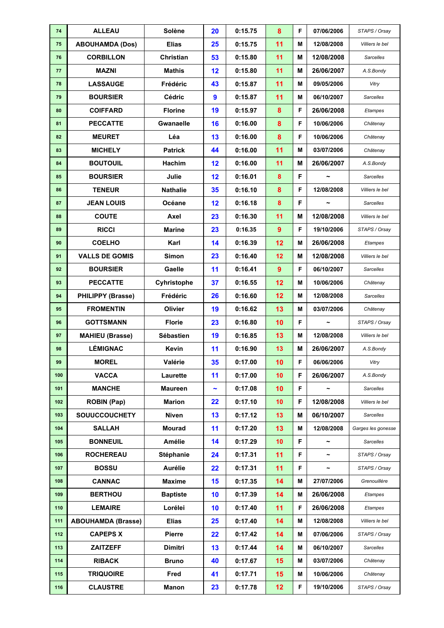| 74  | <b>ALLEAU</b>             | Solène           | 20                    | 0:15.75 | 8              | F | 07/06/2006            | STAPS / Orsay      |
|-----|---------------------------|------------------|-----------------------|---------|----------------|---|-----------------------|--------------------|
| 75  | <b>ABOUHAMDA (Dos)</b>    | <b>Elias</b>     | 25                    | 0:15.75 | 11             | M | 12/08/2008            | Villiers le bel    |
| 76  | <b>CORBILLON</b>          | Christian        | 53                    | 0:15.80 | 11             | M | 12/08/2008            | <b>Sarcelles</b>   |
| 77  | <b>MAZNI</b>              | <b>Mathis</b>    | 12                    | 0:15.80 | 11             | М | 26/06/2007            | A.S.Bondy          |
| 78  | <b>LASSAUGE</b>           | Frédéric         | 43                    | 0:15.87 | 11             | М | 09/05/2006            | Vitry              |
| 79  | <b>BOURSIER</b>           | Cédric           | $\boldsymbol{9}$      | 0:15.87 | 11             | М | 06/10/2007            | Sarcelles          |
| 80  | <b>COIFFARD</b>           | <b>Florine</b>   | 19                    | 0:15.97 | 8              | F | 26/06/2008            | Etampes            |
| 81  | <b>PECCATTE</b>           | Gwanaelle        | 16                    | 0:16.00 | 8              | F | 10/06/2006            | Châtenay           |
| 82  | <b>MEURET</b>             | Léa              | 13                    | 0:16.00 | 8              | F | 10/06/2006            | Châtenay           |
| 83  | <b>MICHELY</b>            | <b>Patrick</b>   | 44                    | 0:16.00 | 11             | М | 03/07/2006            | Châtenay           |
| 84  | <b>BOUTOUIL</b>           | Hachim           | 12                    | 0:16.00 | 11             | М | 26/06/2007            | A.S.Bondy          |
| 85  | <b>BOURSIER</b>           | Julie            | 12                    | 0:16.01 | 8              | F | $\tilde{\phantom{a}}$ | Sarcelles          |
| 86  | <b>TENEUR</b>             | <b>Nathalie</b>  | 35                    | 0:16.10 | 8              | F | 12/08/2008            | Villiers le bel    |
| 87  | <b>JEAN LOUIS</b>         | Océane           | 12                    | 0:16.18 | 8              | F | $\tilde{\phantom{a}}$ | <b>Sarcelles</b>   |
| 88  | <b>COUTE</b>              | Axel             | 23                    | 0:16.30 | 11             | М | 12/08/2008            | Villiers le bel    |
| 89  | <b>RICCI</b>              | <b>Marine</b>    | 23                    | 0:16.35 | $\overline{9}$ | F | 19/10/2006            | STAPS / Orsay      |
| 90  | <b>COELHO</b>             | Karl             | 14                    | 0:16.39 | 12             | M | 26/06/2008            | Etampes            |
| 91  | <b>VALLS DE GOMIS</b>     | Simon            | 23                    | 0:16.40 | 12             | М | 12/08/2008            | Villiers le bel    |
| 92  | <b>BOURSIER</b>           | Gaelle           | 11                    | 0:16.41 | $\overline{9}$ | F | 06/10/2007            | Sarcelles          |
| 93  | <b>PECCATTE</b>           | Cyhristophe      | 37                    | 0:16.55 | 12             | М | 10/06/2006            | Châtenay           |
| 94  | <b>PHILIPPY (Brasse)</b>  | Frédéric         | 26                    | 0:16.60 | 12             | М | 12/08/2008            | <b>Sarcelles</b>   |
| 95  | <b>FROMENTIN</b>          | Olivier          | 19                    | 0:16.62 | 13             | M | 03/07/2006            | Châtenay           |
| 96  | <b>GOTTSMANN</b>          | <b>Florie</b>    | 23                    | 0:16.80 | 10             | F | $\tilde{\phantom{a}}$ | STAPS / Orsay      |
| 97  | <b>MAHIEU (Brasse)</b>    | <b>Sébastien</b> | 19                    | 0:16.85 | 13             | М | 12/08/2008            | Villiers le bel    |
| 98  | <b>LÉMIGNAC</b>           | <b>Kevin</b>     | 11                    | 0:16.90 | 13             | М | 26/06/2007            | A.S.Bondy          |
| 99  | <b>MOREL</b>              | Valérie          | 35                    | 0:17.00 | 10             | F | 06/06/2006            | Vitry              |
| 100 | <b>VACCA</b>              | Laurette         | 11                    | 0:17.00 | 10             | F | 26/06/2007            | A.S.Bondy          |
| 101 | <b>MANCHE</b>             | <b>Maureen</b>   | $\tilde{\phantom{a}}$ | 0:17.08 | 10             | F | $\tilde{\phantom{a}}$ | <b>Sarcelles</b>   |
| 102 | <b>ROBIN (Pap)</b>        | <b>Marion</b>    | 22                    | 0:17.10 | 10             | F | 12/08/2008            | Villiers le bel    |
| 103 | <b>SOUUCCOUCHETY</b>      | <b>Niven</b>     | 13                    | 0:17.12 | 13             | М | 06/10/2007            | <b>Sarcelles</b>   |
| 104 | <b>SALLAH</b>             | <b>Mourad</b>    | 11                    | 0:17.20 | 13             | Μ | 12/08/2008            | Garges les gonesse |
| 105 | <b>BONNEUIL</b>           | Amélie           | 14                    | 0:17.29 | 10             | F | $\tilde{\phantom{a}}$ | <b>Sarcelles</b>   |
| 106 | <b>ROCHEREAU</b>          | Stéphanie        | 24                    | 0:17.31 | 11             | F | $\tilde{\phantom{a}}$ | STAPS / Orsay      |
| 107 | <b>BOSSU</b>              | <b>Aurélie</b>   | 22                    | 0:17.31 | 11             | F | $\tilde{\phantom{a}}$ | STAPS / Orsay      |
| 108 | <b>CANNAC</b>             | <b>Maxime</b>    | 15                    | 0:17.35 | 14             | Μ | 27/07/2006            | Grenouillère       |
| 109 | <b>BERTHOU</b>            | <b>Baptiste</b>  | 10                    | 0:17.39 | 14             | Μ | 26/06/2008            | Etampes            |
| 110 | <b>LEMAIRE</b>            | Lorélei          | 10                    | 0:17.40 | 11             | F | 26/06/2008            | Etampes            |
| 111 | <b>ABOUHAMDA (Brasse)</b> | <b>Elias</b>     | 25                    | 0:17.40 | 14             | Μ | 12/08/2008            | Villiers le bel    |
| 112 | <b>CAPEPS X</b>           | Pierre           | 22                    | 0:17.42 | 14             | Μ | 07/06/2006            | STAPS / Orsay      |
| 113 | <b>ZAITZEFF</b>           | <b>Dimitri</b>   | 13                    | 0:17.44 | 14             | Μ | 06/10/2007            | <b>Sarcelles</b>   |
| 114 | <b>RIBACK</b>             | <b>Bruno</b>     | 40                    | 0:17.67 | 15             | М | 03/07/2006            | Châtenay           |
| 115 | <b>TRIQUOIRE</b>          | Fred             | 41                    | 0:17.71 | 15             | М | 10/06/2006            | Châtenay           |
| 116 | <b>CLAUSTRE</b>           | <b>Manon</b>     | 23                    | 0:17.78 | 12             | F | 19/10/2006            | STAPS / Orsay      |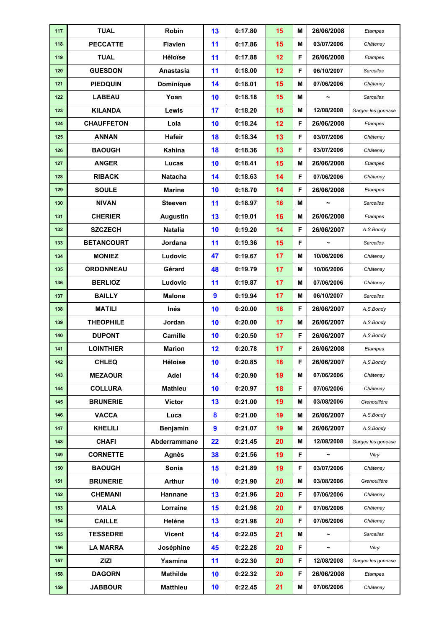| 117 | <b>TUAL</b>       | Robin            | 13               | 0:17.80 | 15 | М | 26/06/2008            | Etampes            |
|-----|-------------------|------------------|------------------|---------|----|---|-----------------------|--------------------|
| 118 | <b>PECCATTE</b>   | <b>Flavien</b>   | 11               | 0:17.86 | 15 | M | 03/07/2006            | Châtenay           |
| 119 | <b>TUAL</b>       | Héloïse          | 11               | 0:17.88 | 12 | F | 26/06/2008            | Etampes            |
| 120 | <b>GUESDON</b>    | Anastasia        | 11               | 0:18.00 | 12 | F | 06/10/2007            | <b>Sarcelles</b>   |
| 121 | <b>PIEDQUIN</b>   | <b>Dominique</b> | 14               | 0:18.01 | 15 | М | 07/06/2006            | Châtenay           |
| 122 | <b>LABEAU</b>     | Yoan             | 10               | 0:18.18 | 15 | М | $\tilde{\phantom{a}}$ | <b>Sarcelles</b>   |
| 123 | <b>KILANDA</b>    | Lewis            | 17               | 0:18.20 | 15 | Μ | 12/08/2008            | Garges les gonesse |
| 124 | <b>CHAUFFETON</b> | Lola             | 10               | 0:18.24 | 12 | F | 26/06/2008            | Etampes            |
| 125 | <b>ANNAN</b>      | Hafeir           | 18               | 0:18.34 | 13 | F | 03/07/2006            | Châtenay           |
| 126 | <b>BAOUGH</b>     | Kahina           | 18               | 0:18.36 | 13 | F | 03/07/2006            | Châtenay           |
| 127 | <b>ANGER</b>      | Lucas            | 10               | 0:18.41 | 15 | М | 26/06/2008            | Etampes            |
| 128 | <b>RIBACK</b>     | <b>Natacha</b>   | 14               | 0:18.63 | 14 | F | 07/06/2006            | Châtenay           |
| 129 | <b>SOULE</b>      | <b>Marine</b>    | 10               | 0:18.70 | 14 | F | 26/06/2008            | <b>Etampes</b>     |
| 130 | <b>NIVAN</b>      | <b>Steeven</b>   | 11               | 0:18.97 | 16 | M | $\tilde{\phantom{a}}$ | <b>Sarcelles</b>   |
| 131 | <b>CHERIER</b>    | <b>Augustin</b>  | 13               | 0:19.01 | 16 | М | 26/06/2008            | <b>Etampes</b>     |
| 132 | <b>SZCZECH</b>    | <b>Natalia</b>   | 10               | 0:19.20 | 14 | F | 26/06/2007            | A.S.Bondy          |
| 133 | <b>BETANCOURT</b> | Jordana          | 11               | 0:19.36 | 15 | F |                       | <b>Sarcelles</b>   |
| 134 | <b>MONIEZ</b>     | Ludovic          | 47               | 0:19.67 | 17 | M | 10/06/2006            | Châtenay           |
| 135 | <b>ORDONNEAU</b>  | Gérard           | 48               | 0:19.79 | 17 | Μ | 10/06/2006            | Châtenay           |
| 136 | <b>BERLIOZ</b>    | Ludovic          | 11               | 0:19.87 | 17 | M | 07/06/2006            | Châtenay           |
| 137 | <b>BAILLY</b>     | <b>Malone</b>    | $\boldsymbol{9}$ | 0:19.94 | 17 | М | 06/10/2007            | <b>Sarcelles</b>   |
| 138 | <b>MATILI</b>     | Inés             | 10               | 0:20.00 | 16 | F | 26/06/2007            | A.S.Bondy          |
| 139 | <b>THEOPHILE</b>  | Jordan           | 10               | 0:20.00 | 17 | М | 26/06/2007            | A.S.Bondy          |
| 140 | <b>DUPONT</b>     | Camille          | 10               | 0:20.50 | 17 | F | 26/06/2007            | A.S.Bondy          |
| 141 | <b>LOINTHIER</b>  | <b>Marion</b>    | 12               | 0:20.78 | 17 | F | 26/06/2008            | Etampes            |
| 142 | <b>CHLEQ</b>      | <b>Héloise</b>   | 10               | 0:20.85 | 18 | F | 26/06/2007            | A.S.Bondy          |
| 143 | <b>MEZAOUR</b>    | Adel             | 14               | 0:20.90 | 19 | M | 07/06/2006            | Châtenay           |
| 144 | <b>COLLURA</b>    | <b>Mathieu</b>   | 10               | 0:20.97 | 18 | F | 07/06/2006            | Châtenay           |
| 145 | <b>BRUNERIE</b>   | <b>Victor</b>    | 13               | 0:21.00 | 19 | М | 03/08/2006            | Grenouillère       |
| 146 | <b>VACCA</b>      | Luca             | 8                | 0:21.00 | 19 | М | 26/06/2007            | A.S.Bondy          |
| 147 | <b>KHELILI</b>    | Benjamin         | $\boldsymbol{9}$ | 0:21.07 | 19 | М | 26/06/2007            | A.S.Bondy          |
| 148 | <b>CHAFI</b>      | Abderrammane     | 22               | 0:21.45 | 20 | Μ | 12/08/2008            | Garges les gonesse |
| 149 | <b>CORNETTE</b>   | Agnès            | 38               | 0:21.56 | 19 | F | $\tilde{\phantom{a}}$ | Vitry              |
| 150 | <b>BAOUGH</b>     | Sonia            | 15               | 0:21.89 | 19 | F | 03/07/2006            | Châtenay           |
| 151 | <b>BRUNERIE</b>   | <b>Arthur</b>    | 10               | 0:21.90 | 20 | Μ | 03/08/2006            | Grenouillère       |
| 152 | <b>CHEMANI</b>    | Hannane          | 13               | 0:21.96 | 20 | F | 07/06/2006            | Châtenay           |
| 153 | <b>VIALA</b>      | Lorraine         | 15               | 0:21.98 | 20 | F | 07/06/2006            | Châtenay           |
| 154 | <b>CAILLE</b>     | Helène           | 13               | 0:21.98 | 20 | F | 07/06/2006            | Châtenay           |
| 155 | <b>TESSEDRE</b>   | <b>Vicent</b>    | 14               | 0:22.05 | 21 | Μ | $\tilde{\phantom{a}}$ | Sarcelles          |
| 156 | <b>LA MARRA</b>   | Joséphine        | 45               | 0:22.28 | 20 | F | $\tilde{}$            | Vitry              |
| 157 | <b>ZIZI</b>       | Yasmina          | 11               | 0:22.30 | 20 | F | 12/08/2008            | Garges les gonesse |
| 158 | <b>DAGORN</b>     | <b>Mathilde</b>  | 10               | 0:22.32 | 20 | F | 26/06/2008            | Etampes            |
| 159 | <b>JABBOUR</b>    | <b>Matthieu</b>  | 10               | 0:22.45 | 21 | Μ | 07/06/2006            | Châtenay           |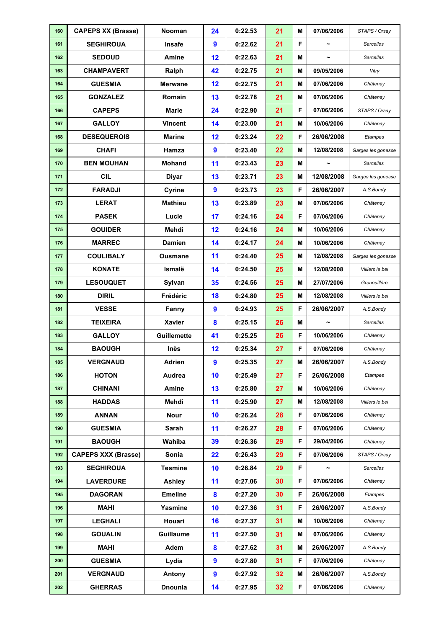| 160 | <b>CAPEPS XX (Brasse)</b>  | Nooman             | 24               | 0:22.53 | 21              | M  | 07/06/2006            | STAPS / Orsay      |
|-----|----------------------------|--------------------|------------------|---------|-----------------|----|-----------------------|--------------------|
| 161 | <b>SEGHIROUA</b>           | Insafe             | $\boldsymbol{9}$ | 0:22.62 | 21              | F  | $\tilde{\phantom{a}}$ | <b>Sarcelles</b>   |
| 162 | <b>SEDOUD</b>              | Amine              | 12               | 0:22.63 | 21              | M  | $\tilde{\phantom{a}}$ | <b>Sarcelles</b>   |
| 163 | <b>CHAMPAVERT</b>          | Ralph              | 42               | 0:22.75 | 21              | M  | 09/05/2006            | Vitry              |
| 164 | <b>GUESMIA</b>             | <b>Merwane</b>     | 12               | 0:22.75 | 21              | М  | 07/06/2006            | Châtenay           |
| 165 | <b>GONZALEZ</b>            | Romain             | 13               | 0:22.78 | 21              | М  | 07/06/2006            | Châtenay           |
| 166 | <b>CAPEPS</b>              | <b>Marie</b>       | 24               | 0:22.90 | 21              | F  | 07/06/2006            | STAPS / Orsay      |
| 167 | <b>GALLOY</b>              | <b>Vincent</b>     | 14               | 0:23.00 | 21              | М  | 10/06/2006            | Châtenay           |
| 168 | <b>DESEQUEROIS</b>         | <b>Marine</b>      | 12               | 0:23.24 | 22              | F  | 26/06/2008            | Etampes            |
| 169 | <b>CHAFI</b>               | Hamza              | $\boldsymbol{9}$ | 0:23.40 | 22              | М  | 12/08/2008            | Garges les gonesse |
| 170 | <b>BEN MOUHAN</b>          | <b>Mohand</b>      | 11               | 0:23.43 | 23              | М  |                       | Sarcelles          |
| 171 | <b>CIL</b>                 | <b>Diyar</b>       | 13               | 0:23.71 | 23              | М  | 12/08/2008            | Garges les gonesse |
| 172 | <b>FARADJI</b>             | Cyrine             | $\boldsymbol{9}$ | 0:23.73 | 23              | F  | 26/06/2007            | A.S.Bondy          |
| 173 | <b>LERAT</b>               | <b>Mathieu</b>     | 13               | 0:23.89 | 23              | М  | 07/06/2006            | Châtenay           |
| 174 | <b>PASEK</b>               | Lucie              | 17               | 0:24.16 | 24              | F  | 07/06/2006            | Châtenay           |
| 175 | <b>GOUIDER</b>             | Mehdi              | 12               | 0:24.16 | 24              | М  | 10/06/2006            | Châtenay           |
| 176 | <b>MARREC</b>              | <b>Damien</b>      | 14               | 0:24.17 | 24              | М  | 10/06/2006            | Châtenay           |
| 177 | <b>COULIBALY</b>           | <b>Ousmane</b>     | 11               | 0:24.40 | 25              | М  | 12/08/2008            | Garges les gonesse |
| 178 | <b>KONATE</b>              | Ismalë             | 14               | 0:24.50 | 25              | М  | 12/08/2008            | Villiers le bel    |
| 179 | <b>LESOUQUET</b>           | Sylvan             | 35               | 0:24.56 | 25              | М  | 27/07/2006            | Grenouillère       |
| 180 | <b>DIRIL</b>               | Frédéric           | 18               | 0:24.80 | 25              | М  | 12/08/2008            | Villiers le bel    |
| 181 | <b>VESSE</b>               | Fanny              | $\boldsymbol{9}$ | 0:24.93 | 25              | F  | 26/06/2007            | A.S.Bondy          |
| 182 | <b>TEIXEIRA</b>            | <b>Xavier</b>      | 8                | 0:25.15 | 26              | M  | ∼                     | <b>Sarcelles</b>   |
| 183 | <b>GALLOY</b>              | <b>Guillemette</b> | 41               | 0:25.25 | 26              | F  | 10/06/2006            | Châtenay           |
| 184 | <b>BAOUGH</b>              | Inès               | 12               | 0:25.34 | 27              | F  | 07/06/2006            | Châtenay           |
| 185 | <b>VERGNAUD</b>            | <b>Adrien</b>      | $\boldsymbol{9}$ | 0:25.35 | 27              | М  | 26/06/2007            | A.S.Bondy          |
| 186 | <b>HOTON</b>               | Audrea             | 10               | 0:25.49 | 27              | F  | 26/06/2008            | Etampes            |
| 187 | <b>CHINANI</b>             | Amine              | 13               | 0:25.80 | 27              | Μ  | 10/06/2006            | Châtenay           |
| 188 | <b>HADDAS</b>              | Mehdi              | 11               | 0:25.90 | 27              | Μ  | 12/08/2008            | Villiers le bel    |
| 189 | <b>ANNAN</b>               | <b>Nour</b>        | 10               | 0:26.24 | 28              | F  | 07/06/2006            | Châtenay           |
| 190 | <b>GUESMIA</b>             | Sarah              | 11               | 0:26.27 | 28              | F  | 07/06/2006            | Châtenay           |
| 191 | <b>BAOUGH</b>              | Wahiba             | 39               | 0:26.36 | 29              | F  | 29/04/2006            | Châtenay           |
| 192 | <b>CAPEPS XXX (Brasse)</b> | Sonia              | 22               | 0:26.43 | 29              | F  | 07/06/2006            | STAPS / Orsay      |
| 193 | <b>SEGHIROUA</b>           | <b>Tesmine</b>     | 10               | 0:26.84 | 29              | F. | $\tilde{\phantom{a}}$ | <b>Sarcelles</b>   |
| 194 | <b>LAVERDURE</b>           | Ashley             | 11               | 0:27.06 | 30              | F  | 07/06/2006            | Châtenay           |
| 195 | <b>DAGORAN</b>             | <b>Emeline</b>     | 8                | 0:27.20 | 30              | F  | 26/06/2008            | Etampes            |
| 196 | <b>MAHI</b>                | Yasmine            | 10               | 0:27.36 | 31              | F  | 26/06/2007            | A.S.Bondy          |
| 197 | <b>LEGHALI</b>             | Houari             | 16               | 0:27.37 | 31              | М  | 10/06/2006            | Châtenay           |
| 198 | <b>GOUALIN</b>             | <b>Guillaume</b>   | 11               | 0:27.50 | 31              | Μ  | 07/06/2006            | Châtenay           |
| 199 | <b>MAHI</b>                | Adem               | 8                | 0:27.62 | 31              | М  | 26/06/2007            | A.S.Bondy          |
| 200 | <b>GUESMIA</b>             | Lydia              | $\boldsymbol{9}$ | 0:27.80 | 31              | F  | 07/06/2006            | Châtenay           |
| 201 | <b>VERGNAUD</b>            | Antony             | $\boldsymbol{9}$ | 0:27.92 | 32 <sub>2</sub> | м  | 26/06/2007            | A.S.Bondy          |
| 202 | <b>GHERRAS</b>             | <b>Dnounia</b>     | 14               | 0:27.95 | 32              | F  | 07/06/2006            | Châtenay           |